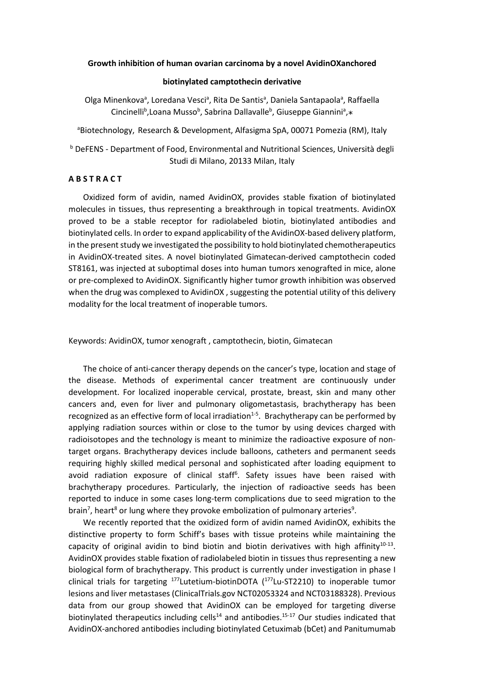### **Growth inhibition of human ovarian carcinoma by a novel AvidinOXanchored**

### **biotinylated camptothecin derivative**

Olga Minenkova<sup>a</sup>, Loredana Vesci<sup>a</sup>, Rita De Santis<sup>a</sup>, Daniela Santapaola<sup>a</sup>, Raffaella Cincinelli<sup>b</sup>, Loana Musso<sup>b</sup>, Sabrina Dallavalle<sup>b</sup>, Giuseppe Giannini<sup>a</sup>,\*

<sup>a</sup>Biotechnology, Research & Development, Alfasigma SpA, 00071 Pomezia (RM), Italy

<sup>b</sup> DeFENS - Department of Food, Environmental and Nutritional Sciences, Università degli Studi di Milano, 20133 Milan, Italy

### **A B S T R A C T**

Oxidized form of avidin, named AvidinOX, provides stable fixation of biotinylated molecules in tissues, thus representing a breakthrough in topical treatments. AvidinOX proved to be a stable receptor for radiolabeled biotin, biotinylated antibodies and biotinylated cells. In order to expand applicability of the AvidinOX-based delivery platform, in the present study we investigated the possibility to hold biotinylated chemotherapeutics in AvidinOX-treated sites. A novel biotinylated Gimatecan-derived camptothecin coded ST8161, was injected at suboptimal doses into human tumors xenografted in mice, alone or pre-complexed to AvidinOX. Significantly higher tumor growth inhibition was observed when the drug was complexed to AvidinOX, suggesting the potential utility of this delivery modality for the local treatment of inoperable tumors.

Keywords: AvidinOX, tumor xenograft , camptothecin, biotin, Gimatecan

The choice of anti-cancer therapy depends on the cancer's type, location and stage of the disease. Methods of experimental cancer treatment are continuously under development. For localized inoperable cervical, prostate, breast, skin and many other cancers and, even for liver and pulmonary oligometastasis, brachytherapy has been recognized as an effective form of local irradiation<sup>1-5</sup>. Brachytherapy can be performed by applying radiation sources within or close to the tumor by using devices charged with radioisotopes and the technology is meant to minimize the radioactive exposure of nontarget organs. Brachytherapy devices include balloons, catheters and permanent seeds requiring highly skilled medical personal and sophisticated after loading equipment to avoid radiation exposure of clinical staff<sup>6</sup>. Safety issues have been raised with brachytherapy procedures. Particularly, the injection of radioactive seeds has been reported to induce in some cases long-term complications due to seed migration to the brain<sup>7</sup>, heart<sup>8</sup> or lung where they provoke embolization of pulmonary arteries<sup>9</sup>.

We recently reported that the oxidized form of avidin named AvidinOX, exhibits the distinctive property to form Schiff's bases with tissue proteins while maintaining the capacity of original avidin to bind biotin and biotin derivatives with high affinity $10^{-13}$ . AvidinOX provides stable fixation of radiolabeled biotin in tissues thus representing a new biological form of brachytherapy. This product is currently under investigation in phase I clinical trials for targeting  $177$ Lutetium-biotinDOTA  $(177)$ Lu-ST2210) to inoperable tumor lesions and liver metastases (ClinicalTrials.gov NCT02053324 and NCT03188328). Previous data from our group showed that AvidinOX can be employed for targeting diverse biotinylated therapeutics including cells<sup>14</sup> and antibodies.<sup>15-17</sup> Our studies indicated that AvidinOX-anchored antibodies including biotinylated Cetuximab (bCet) and Panitumumab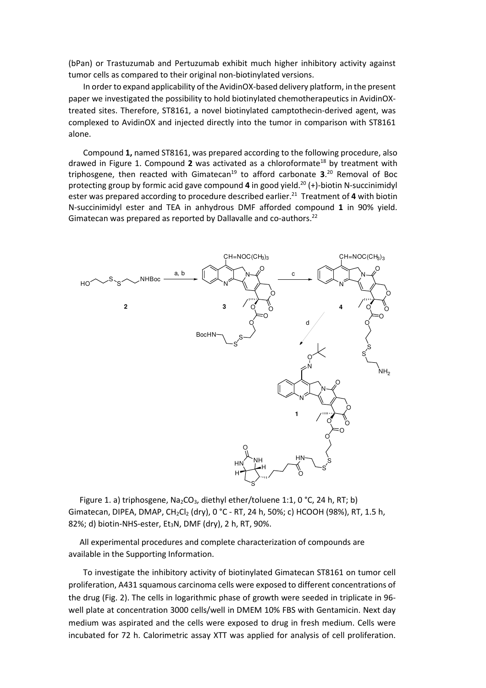(bPan) or Trastuzumab and Pertuzumab exhibit much higher inhibitory activity against tumor cells as compared to their original non-biotinylated versions.

In order to expand applicability of the AvidinOX-based delivery platform, in the present paper we investigated the possibility to hold biotinylated chemotherapeutics in AvidinOXtreated sites. Therefore, ST8161, a novel biotinylated camptothecin-derived agent, was complexed to AvidinOX and injected directly into the tumor in comparison with ST8161 alone.

Compound **1,** named ST8161, was prepared according to the following procedure, also drawed in Figure 1. Compound 2 was activated as a chloroformate<sup>18</sup> by treatment with triphosgene, then reacted with Gimatecan<sup>19</sup> to afford carbonate 3.<sup>20</sup> Removal of Boc protecting group by formic acid gave compound **4** in good yield.<sup>20</sup> (+)-biotin N-succinimidyl ester was prepared according to procedure described earlier.<sup>21</sup> Treatment of 4 with biotin N-succinimidyl ester and TEA in anhydrous DMF afforded compound **1** in 90% yield. Gimatecan was prepared as reported by Dallavalle and co-authors.<sup>22</sup>



Figure 1. a) triphosgene, Na<sub>2</sub>CO<sub>3</sub>, diethyl ether/toluene 1:1, 0 °C, 24 h, RT; b) Gimatecan, DIPEA, DMAP, CH<sub>2</sub>Cl<sub>2</sub> (dry), 0 °C - RT, 24 h, 50%; c) HCOOH (98%), RT, 1.5 h, 82%; d) biotin-NHS-ester, Et<sub>3</sub>N, DMF (dry), 2 h, RT, 90%.

All experimental procedures and complete characterization of compounds are available in the Supporting Information.

To investigate the inhibitory activity of biotinylated Gimatecan ST8161 on tumor cell proliferation, A431 squamous carcinoma cells were exposed to different concentrations of the drug (Fig. 2). The cells in logarithmic phase of growth were seeded in triplicate in 96 well plate at concentration 3000 cells/well in DMEM 10% FBS with Gentamicin. Next day medium was aspirated and the cells were exposed to drug in fresh medium. Cells were incubated for 72 h. Calorimetric assay XTT was applied for analysis of cell proliferation.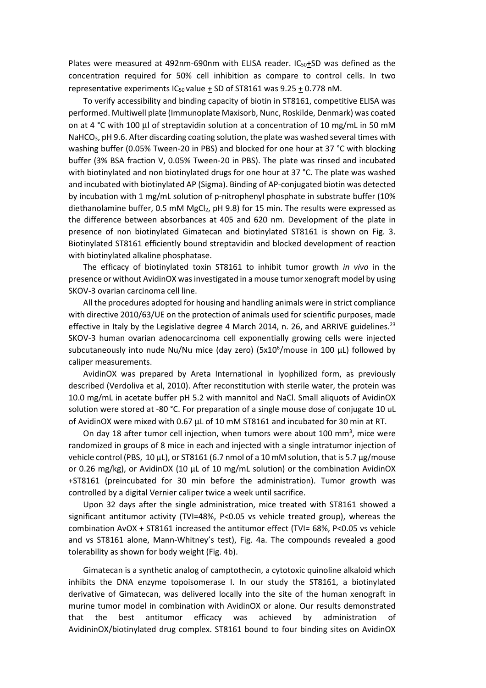Plates were measured at 492nm-690nm with ELISA reader.  $IC_{50}+SD$  was defined as the concentration required for 50% cell inhibition as compare to control cells. In two representative experiments  $IC_{50}$  value + SD of ST8161 was  $9.25 + 0.778$  nM.

To verify accessibility and binding capacity of biotin in ST8161, competitive ELISA was performed. Multiwell plate (Immunoplate Maxisorb, Nunc, Roskilde, Denmark) was coated on at 4 °C with 100  $\mu$  of streptavidin solution at a concentration of 10 mg/mL in 50 mM NaHCO<sub>3</sub>, pH 9.6. After discarding coating solution, the plate was washed several times with washing buffer (0.05% Tween-20 in PBS) and blocked for one hour at 37 °C with blocking buffer (3% BSA fraction V, 0.05% Tween-20 in PBS). The plate was rinsed and incubated with biotinylated and non biotinylated drugs for one hour at 37 °C. The plate was washed and incubated with biotinylated AP (Sigma). Binding of AP-conjugated biotin was detected by incubation with 1 mg/mL solution of p-nitrophenyl phosphate in substrate buffer (10% diethanolamine buffer, 0.5 mM MgCl<sub>2</sub>, pH 9.8) for 15 min. The results were expressed as the difference between absorbances at 405 and 620 nm. Development of the plate in presence of non biotinylated Gimatecan and biotinylated ST8161 is shown on Fig. 3. Biotinylated ST8161 efficiently bound streptavidin and blocked development of reaction with biotinylated alkaline phosphatase.

The efficacy of biotinylated toxin ST8161 to inhibit tumor growth *in vivo* in the presence or without AvidinOX was investigated in a mouse tumor xenograft model by using SKOV-3 ovarian carcinoma cell line.

All the procedures adopted for housing and handling animals were in strict compliance with directive 2010/63/UE on the protection of animals used for scientific purposes, made effective in Italy by the Legislative degree 4 March 2014, n. 26, and ARRIVE guidelines.<sup>23</sup> SKOV-3 human ovarian adenocarcinoma cell exponentially growing cells were injected subcutaneously into nude Nu/Nu mice (day zero) ( $5x10^6$ /mouse in 100 µL) followed by caliper measurements.

AvidinOX was prepared by Areta International in lyophilized form, as previously described (Verdoliva et al, 2010). After reconstitution with sterile water, the protein was 10.0 mg/mL in acetate buffer pH 5.2 with mannitol and NaCl. Small aliquots of AvidinOX solution were stored at -80 °C. For preparation of a single mouse dose of conjugate 10 uL of AvidinOX were mixed with 0.67 µL of 10 mM ST8161 and incubated for 30 min at RT.

On day 18 after tumor cell injection, when tumors were about 100 mm<sup>3</sup>, mice were randomized in groups of 8 mice in each and injected with a single intratumor injection of vehicle control (PBS,  $10 \mu L$ ), or ST8161 (6.7 nmol of a 10 mM solution, that is 5.7  $\mu$ g/mouse or 0.26 mg/kg), or AvidinOX (10 µL of 10 mg/mL solution) or the combination AvidinOX +ST8161 (preincubated for 30 min before the administration). Tumor growth was controlled by a digital Vernier caliper twice a week until sacrifice.

Upon 32 days after the single administration, mice treated with ST8161 showed a significant antitumor activity (TVI=48%, P<0.05 vs vehicle treated group), whereas the combination AvOX + ST8161 increased the antitumor effect (TVI= 68%, P<0.05 vs vehicle and vs ST8161 alone, Mann-Whitney's test), Fig. 4a. The compounds revealed a good tolerability as shown for body weight (Fig. 4b).

Gimatecan is a synthetic analog of camptothecin, a cytotoxic quinoline alkaloid which inhibits the DNA enzyme topoisomerase I. In our study the ST8161, a biotinylated derivative of Gimatecan, was delivered locally into the site of the human xenograft in murine tumor model in combination with AvidinOX or alone. Our results demonstrated that the best antitumor efficacy was achieved by administration of AvidininOX/biotinylated drug complex. ST8161 bound to four binding sites on AvidinOX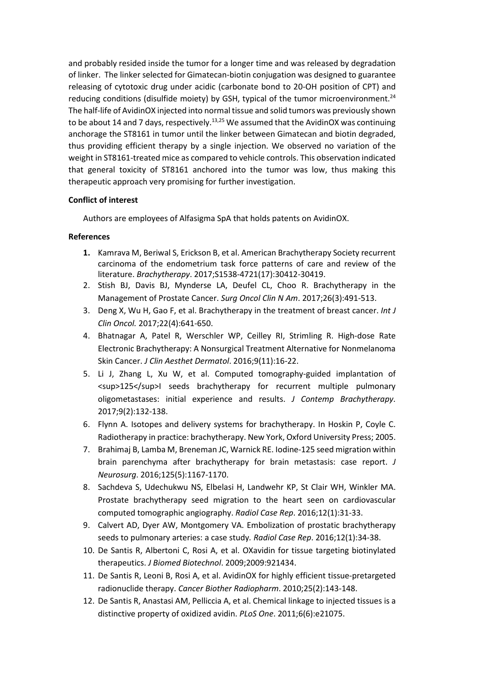and probably resided inside the tumor for a longer time and was released by degradation of linker. The linker selected for Gimatecan-biotin conjugation was designed to guarantee releasing of cytotoxic drug under acidic (carbonate bond to 20-OH position of CPT) and reducing conditions (disulfide moiety) by GSH, typical of the tumor microenvironment.<sup>24</sup> The half-life of AvidinOX injected into normal tissue and solid tumors was previously shown to be about 14 and 7 days, respectively.<sup>13,25</sup> We assumed that the AvidinOX was continuing anchorage the ST8161 in tumor until the linker between Gimatecan and biotin degraded, thus providing efficient therapy by a single injection. We observed no variation of the weight in ST8161-treated mice as compared to vehicle controls. This observation indicated that general toxicity of ST8161 anchored into the tumor was low, thus making this therapeutic approach very promising for further investigation.

# **Conflict of interest**

Authors are employees of Alfasigma SpA that holds patents on AvidinOX.

# **References**

- **1.** Kamrava M, Beriwal S, Erickson B, et al. American Brachytherapy Society recurrent carcinoma of the endometrium task force patterns of care and review of the literature. *Brachytherapy*. 2017;S1538-4721(17):30412-30419.
- 2. Stish BJ, Davis BJ, Mynderse LA, Deufel CL, Choo R. Brachytherapy in the Management of Prostate Cancer. *Surg Oncol Clin N Am*. 2017;26(3):491-513.
- 3. Deng X, Wu H, Gao F, et al. Brachytherapy in the treatment of breast cancer. *Int J Clin Oncol.* 2017;22(4):641-650.
- 4. Bhatnagar A, Patel R, Werschler WP, Ceilley RI, Strimling R. High-dose Rate Electronic Brachytherapy: A Nonsurgical Treatment Alternative for Nonmelanoma Skin Cancer. *J Clin Aesthet Dermatol*. 2016;9(11):16-22.
- 5. Li J, Zhang L, Xu W, et al. Computed tomography-guided implantation of <sup>125</sup>I seeds brachytherapy for recurrent multiple pulmonary oligometastases: initial experience and results. *J Contemp Brachytherapy*. 2017;9(2):132-138.
- 6. Flynn A. Isotopes and delivery systems for brachytherapy. In Hoskin P, Coyle C. Radiotherapy in practice: brachytherapy. New York, Oxford University Press; 2005.
- 7. Brahimaj B, Lamba M, Breneman JC, Warnick RE. Iodine-125 seed migration within brain parenchyma after brachytherapy for brain metastasis: case report. *J Neurosurg*. 2016;125(5):1167-1170.
- 8. Sachdeva S, Udechukwu NS, Elbelasi H, Landwehr KP, St Clair WH, Winkler MA. Prostate brachytherapy seed migration to the heart seen on cardiovascular computed tomographic angiography. *Radiol Case Rep*. 2016;12(1):31-33.
- 9. Calvert AD, Dyer AW, Montgomery VA. Embolization of prostatic brachytherapy seeds to pulmonary arteries: a case study*. Radiol Case Rep*. 2016;12(1):34-38.
- 10. De Santis R, Albertoni C, Rosi A, et al. OXavidin for tissue targeting biotinylated therapeutics. *J Biomed Biotechnol*. 2009;2009:921434.
- 11. De Santis R, Leoni B, Rosi A, et al. AvidinOX for highly efficient tissue-pretargeted radionuclide therapy. *Cancer Biother Radiopharm*. 2010;25(2):143-148.
- 12. De Santis R, Anastasi AM, Pelliccia A, et al. Chemical linkage to injected tissues is a distinctive property of oxidized avidin. *PLoS One*. 2011;6(6):e21075.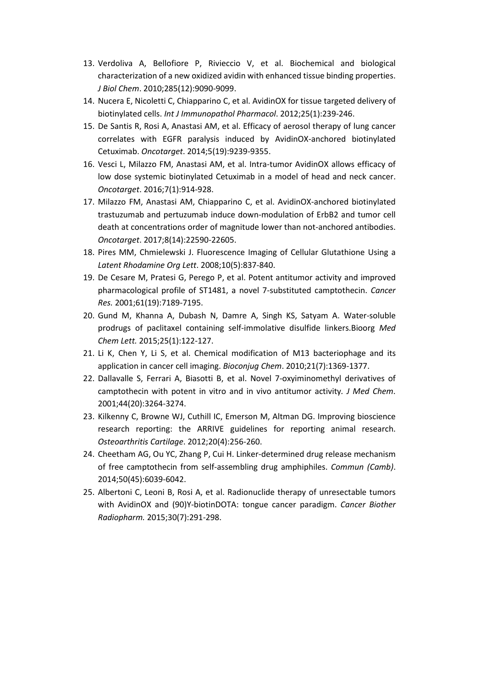- 13. Verdoliva A, Bellofiore P, Rivieccio V, et al. Biochemical and biological characterization of a new oxidized avidin with enhanced tissue binding properties. *J Biol Chem*. 2010;285(12):9090-9099.
- 14. Nucera E, Nicoletti C, Chiapparino C, et al. AvidinOX for tissue targeted delivery of biotinylated cells. *Int J Immunopathol Pharmacol*. 2012;25(1):239-246.
- 15. De Santis R, Rosi A, Anastasi AM, et al. Efficacy of aerosol therapy of lung cancer correlates with EGFR paralysis induced by AvidinOX-anchored biotinylated Cetuximab. *Oncotarget*. 2014;5(19):9239-9355.
- 16. Vesci L, Milazzo FM, Anastasi AM, et al. Intra-tumor AvidinOX allows efficacy of low dose systemic biotinylated Cetuximab in a model of head and neck cancer. *Oncotarget*. 2016;7(1):914-928.
- 17. Milazzo FM, Anastasi AM, Chiapparino C, et al. AvidinOX-anchored biotinylated trastuzumab and pertuzumab induce down-modulation of ErbB2 and tumor cell death at concentrations order of magnitude lower than not-anchored antibodies. *Oncotarget*. 2017;8(14):22590-22605.
- 18. Pires MM, Chmielewski J. Fluorescence Imaging of Cellular Glutathione Using a *Latent Rhodamine Org Lett*. 2008;10(5):837-840.
- 19. De Cesare M, Pratesi G, Perego P, et al. Potent antitumor activity and improved pharmacological profile of ST1481, a novel 7-substituted camptothecin. *Cancer Res.* 2001;61(19):7189-7195.
- 20. Gund M, Khanna A, Dubash N, Damre A, Singh KS, Satyam A. Water-soluble prodrugs of paclitaxel containing self-immolative disulfide linkers.Bioorg *Med Chem Lett.* 2015;25(1):122-127.
- 21. Li K, Chen Y, Li S, et al. Chemical modification of M13 bacteriophage and its application in cancer cell imaging. *Bioconjug Chem*. 2010;21(7):1369-1377.
- 22. Dallavalle S, Ferrari A, Biasotti B, et al. Novel 7-oxyiminomethyl derivatives of camptothecin with potent in vitro and in vivo antitumor activity*. J Med Chem*. 2001;44(20):3264-3274.
- 23. Kilkenny C, Browne WJ, Cuthill IC, Emerson M, Altman DG. Improving bioscience research reporting: the ARRIVE guidelines for reporting animal research. *Osteoarthritis Cartilage*. 2012;20(4):256-260.
- 24. Cheetham AG, Ou YC, Zhang P, Cui H. Linker-determined drug release mechanism of free camptothecin from self-assembling drug amphiphiles. *Commun (Camb)*. 2014;50(45):6039-6042.
- 25. Albertoni C, Leoni B, Rosi A, et al. Radionuclide therapy of unresectable tumors with AvidinOX and (90)Y-biotinDOTA: tongue cancer paradigm. *Cancer Biother Radiopharm.* 2015;30(7):291-298.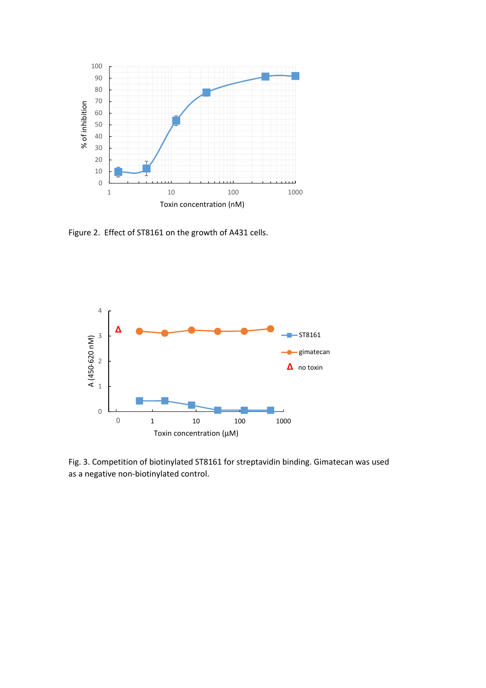

Figure 2. Effect of ST8161 on the growth of A431 cells.



Fig. 3. Competition of biotinylated ST8161 for streptavidin binding. Gimatecan was used as a negative non-biotinylated control.